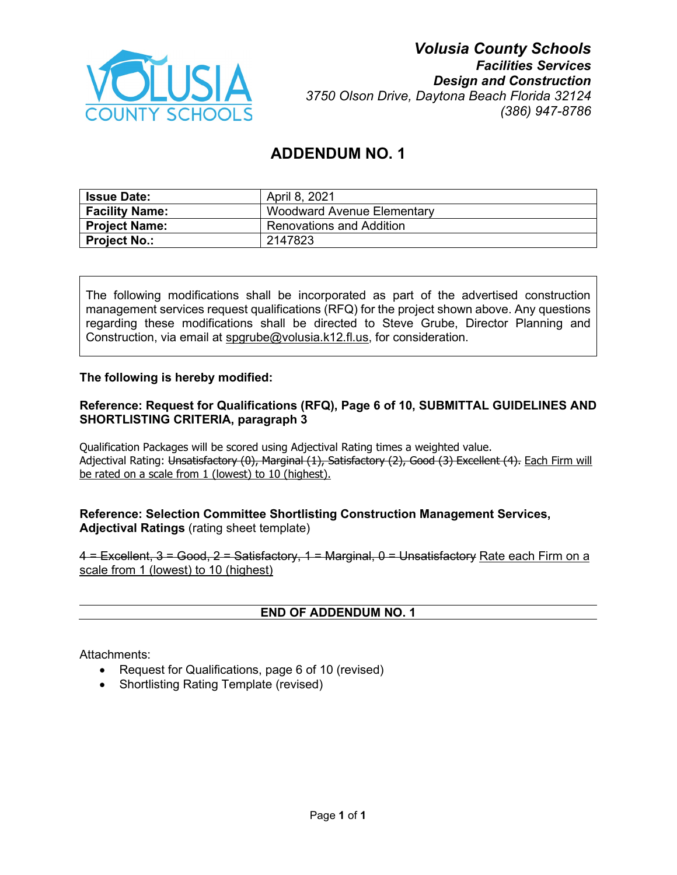

# **ADDENDUM NO. 1**

| <b>Issue Date:</b>    | April 8, 2021                     |
|-----------------------|-----------------------------------|
| <b>Facility Name:</b> | <b>Woodward Avenue Elementary</b> |
| Project Name:         | <b>Renovations and Addition</b>   |
| <b>Project No.:</b>   | 2147823                           |

The following modifications shall be incorporated as part of the advertised construction management services request qualifications (RFQ) for the project shown above. Any questions regarding these modifications shall be directed to Steve Grube, Director Planning and Construction, via email at [spgrube@volusia.k12.fl.us,](mailto:spgrube@volusia.k12.fl.us) for consideration.

### **The following is hereby modified:**

### **Reference: Request for Qualifications (RFQ), Page 6 of 10, SUBMITTAL GUIDELINES AND SHORTLISTING CRITERIA, paragraph 3**

Qualification Packages will be scored using Adjectival Rating times a weighted value. Adjectival Rating: Unsatisfactory (0), Marginal (1), Satisfactory (2), Good (3) Excellent (4). Each Firm will be rated on a scale from 1 (lowest) to 10 (highest).

### **Reference: Selection Committee Shortlisting Construction Management Services, Adjectival Ratings** (rating sheet template)

4 = Excellent, 3 = Good, 2 = Satisfactory, 1 = Marginal, 0 = Unsatisfactory Rate each Firm on a scale from 1 (lowest) to 10 (highest)

#### **END OF ADDENDUM NO. 1**

Attachments:

- Request for Qualifications, page 6 of 10 (revised)
- Shortlisting Rating Template (revised)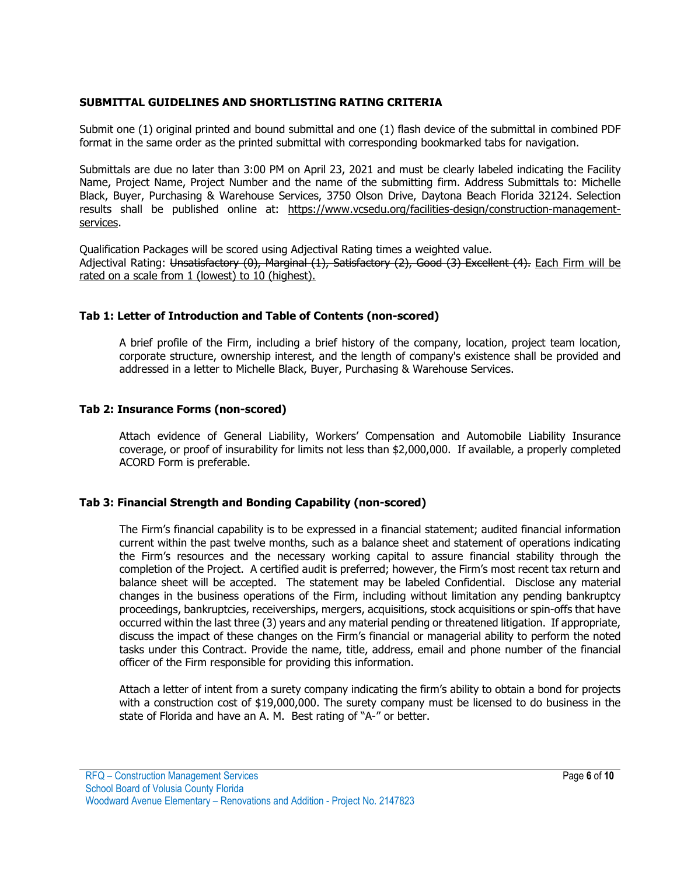#### **SUBMITTAL GUIDELINES AND SHORTLISTING RATING CRITERIA**

Submit one (1) original printed and bound submittal and one (1) flash device of the submittal in combined PDF format in the same order as the printed submittal with corresponding bookmarked tabs for navigation.

Submittals are due no later than 3:00 PM on April 23, 2021 and must be clearly labeled indicating the Facility Name, Project Name, Project Number and the name of the submitting firm. Address Submittals to: Michelle Black, Buyer, Purchasing & Warehouse Services, 3750 Olson Drive, Daytona Beach Florida 32124. Selection results shall be published online at: [https://www.vcsedu.org/facilities-design/construction-management](https://www.vcsedu.org/facilities-design/construction-management-services)[services.](https://www.vcsedu.org/facilities-design/construction-management-services)

Qualification Packages will be scored using Adjectival Rating times a weighted value. Adjectival Rating: Unsatisfactory (0), Marginal (1), Satisfactory (2), Good (3) Excellent (4). Each Firm will be rated on a scale from 1 (lowest) to 10 (highest).

#### **Tab 1: Letter of Introduction and Table of Contents (non-scored)**

A brief profile of the Firm, including a brief history of the company, location, project team location, corporate structure, ownership interest, and the length of company's existence shall be provided and addressed in a letter to Michelle Black, Buyer, Purchasing & Warehouse Services.

#### **Tab 2: Insurance Forms (non-scored)**

Attach evidence of General Liability, Workers' Compensation and Automobile Liability Insurance coverage, or proof of insurability for limits not less than \$2,000,000. If available, a properly completed ACORD Form is preferable.

### **Tab 3: Financial Strength and Bonding Capability (non-scored)**

The Firm's financial capability is to be expressed in a financial statement; audited financial information current within the past twelve months, such as a balance sheet and statement of operations indicating the Firm's resources and the necessary working capital to assure financial stability through the completion of the Project. A certified audit is preferred; however, the Firm's most recent tax return and balance sheet will be accepted. The statement may be labeled Confidential. Disclose any material changes in the business operations of the Firm, including without limitation any pending bankruptcy proceedings, bankruptcies, receiverships, mergers, acquisitions, stock acquisitions or spin-offs that have occurred within the last three (3) years and any material pending or threatened litigation. If appropriate, discuss the impact of these changes on the Firm's financial or managerial ability to perform the noted tasks under this Contract. Provide the name, title, address, email and phone number of the financial officer of the Firm responsible for providing this information.

Attach a letter of intent from a surety company indicating the firm's ability to obtain a bond for projects with a construction cost of \$19,000,000. The surety company must be licensed to do business in the state of Florida and have an A. M. Best rating of "A-" or better.